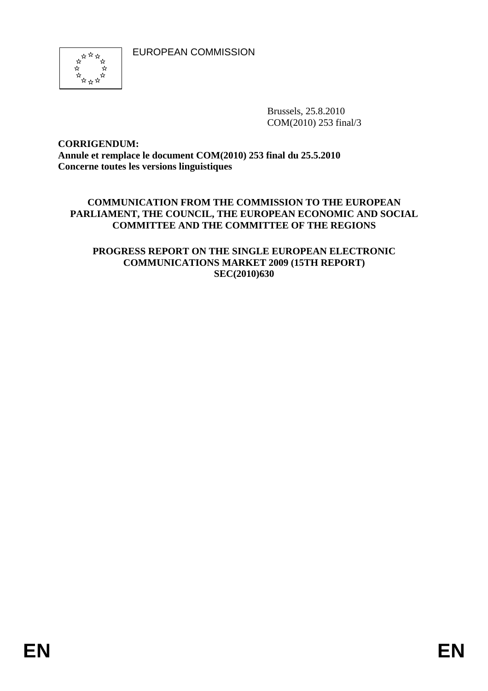EUROPEAN COMMISSION



Brussels, 25.8.2010 COM(2010) 253 final/3

#### **CORRIGENDUM: Annule et remplace le document COM(2010) 253 final du 25.5.2010 Concerne toutes les versions linguistiques**

#### **COMMUNICATION FROM THE COMMISSION TO THE EUROPEAN PARLIAMENT, THE COUNCIL, THE EUROPEAN ECONOMIC AND SOCIAL COMMITTEE AND THE COMMITTEE OF THE REGIONS**

#### **PROGRESS REPORT ON THE SINGLE EUROPEAN ELECTRONIC COMMUNICATIONS MARKET 2009 (15TH REPORT) SEC(2010)630**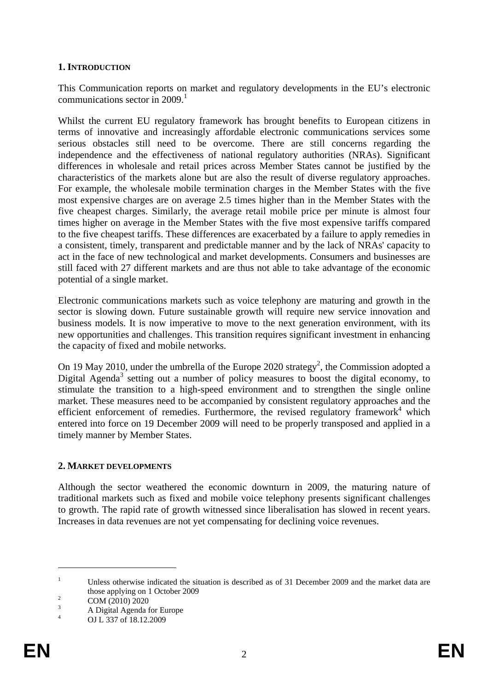#### **1. INTRODUCTION**

This Communication reports on market and regulatory developments in the EU's electronic communications sector in  $2009<sup>1</sup>$ 

Whilst the current EU regulatory framework has brought benefits to European citizens in terms of innovative and increasingly affordable electronic communications services some serious obstacles still need to be overcome. There are still concerns regarding the independence and the effectiveness of national regulatory authorities (NRAs). Significant differences in wholesale and retail prices across Member States cannot be justified by the characteristics of the markets alone but are also the result of diverse regulatory approaches. For example, the wholesale mobile termination charges in the Member States with the five most expensive charges are on average 2.5 times higher than in the Member States with the five cheapest charges. Similarly, the average retail mobile price per minute is almost four times higher on average in the Member States with the five most expensive tariffs compared to the five cheapest tariffs. These differences are exacerbated by a failure to apply remedies in a consistent, timely, transparent and predictable manner and by the lack of NRAs' capacity to act in the face of new technological and market developments. Consumers and businesses are still faced with 27 different markets and are thus not able to take advantage of the economic potential of a single market.

Electronic communications markets such as voice telephony are maturing and growth in the sector is slowing down. Future sustainable growth will require new service innovation and business models. It is now imperative to move to the next generation environment, with its new opportunities and challenges. This transition requires significant investment in enhancing the capacity of fixed and mobile networks.

On 19 May 2010, under the umbrella of the Europe 2020 strategy<sup>2</sup>, the Commission adopted a Digital Agenda<sup>3</sup> setting out a number of policy measures to boost the digital economy, to stimulate the transition to a high-speed environment and to strengthen the single online market. These measures need to be accompanied by consistent regulatory approaches and the efficient enforcement of remedies. Furthermore, the revised regulatory framework<sup>4</sup> which entered into force on 19 December 2009 will need to be properly transposed and applied in a timely manner by Member States.

#### **2. MARKET DEVELOPMENTS**

Although the sector weathered the economic downturn in 2009, the maturing nature of traditional markets such as fixed and mobile voice telephony presents significant challenges to growth. The rapid rate of growth witnessed since liberalisation has slowed in recent years. Increases in data revenues are not yet compensating for declining voice revenues.

<sup>1</sup> Unless otherwise indicated the situation is described as of 31 December 2009 and the market data are those applying on 1 October 2009

COM (2010) 2020

<sup>3</sup> A Digital Agenda for Europe

<sup>4</sup> OJ L 337 of 18.12.2009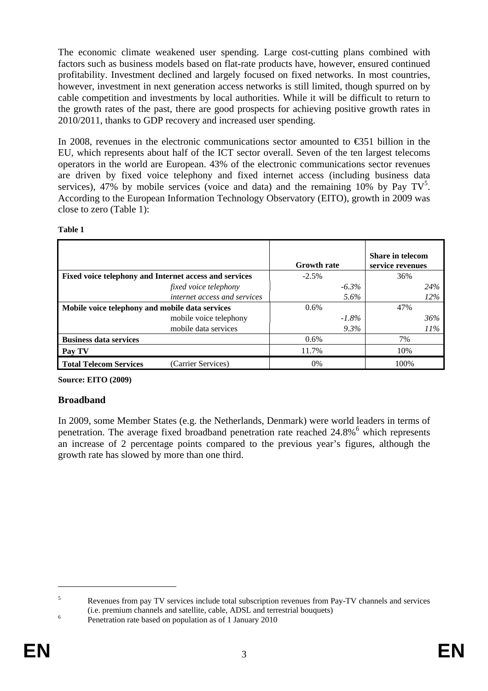The economic climate weakened user spending. Large cost-cutting plans combined with factors such as business models based on flat-rate products have, however, ensured continued profitability. Investment declined and largely focused on fixed networks. In most countries, however, investment in next generation access networks is still limited, though spurred on by cable competition and investments by local authorities. While it will be difficult to return to the growth rates of the past, there are good prospects for achieving positive growth rates in 2010/2011, thanks to GDP recovery and increased user spending.

In 2008, revenues in the electronic communications sector amounted to €351 billion in the EU, which represents about half of the ICT sector overall. Seven of the ten largest telecoms operators in the world are European. 43% of the electronic communications sector revenues are driven by fixed voice telephony and fixed internet access (including business data services), 47% by mobile services (voice and data) and the remaining 10% by Pay  $TV^5$ . According to the European Information Technology Observatory (EITO), growth in 2009 was close to zero (Table 1):

|                                                        | <b>Growth rate</b> | <b>Share in telecom</b><br>service revenues |
|--------------------------------------------------------|--------------------|---------------------------------------------|
| Fixed voice telephony and Internet access and services | $-2.5\%$           | 36%                                         |
| fixed voice telephony                                  | $-6.3\%$           | 24%                                         |
| internet access and services                           | 5.6%               | 12%                                         |
| Mobile voice telephony and mobile data services        | 0.6%               | 47%                                         |
| mobile voice telephony                                 | $-1.8\%$           | 36%                                         |
| mobile data services                                   | $9.3\%$            | 11%                                         |
| <b>Business data services</b>                          | $0.6\%$            | 7%                                          |
| Pay TV                                                 | 11.7%              | 10%                                         |
| <b>Total Telecom Services</b><br>(Carrier Services)    | $0\%$              | 100\%                                       |

**Table 1** 

**Source: EITO (2009)** 

## **Broadband**

In 2009, some Member States (e.g. the Netherlands, Denmark) were world leaders in terms of penetration. The average fixed broadband penetration rate reached 24.8%<sup>6</sup> which represents an increase of 2 percentage points compared to the previous year's figures, although the growth rate has slowed by more than one third.

<sup>5</sup> Revenues from pay TV services include total subscription revenues from Pay-TV channels and services (i.e. premium channels and satellite, cable, ADSL and terrestrial bouquets) 6

Penetration rate based on population as of 1 January 2010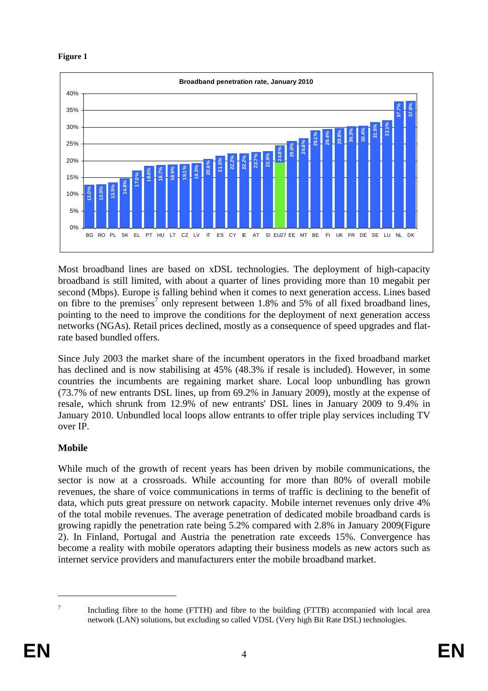



Most broadband lines are based on xDSL technologies. The deployment of high-capacity broadband is still limited, with about a quarter of lines providing more than 10 megabit per second (Mbps). Europe is falling behind when it comes to next generation access. Lines based on fibre to the premises<sup>7</sup> only represent between 1.8% and 5% of all fixed broadband lines, pointing to the need to improve the conditions for the deployment of next generation access networks (NGAs). Retail prices declined, mostly as a consequence of speed upgrades and flatrate based bundled offers.

Since July 2003 the market share of the incumbent operators in the fixed broadband market has declined and is now stabilising at 45% (48.3% if resale is included). However, in some countries the incumbents are regaining market share. Local loop unbundling has grown (73.7% of new entrants DSL lines, up from 69.2% in January 2009), mostly at the expense of resale, which shrunk from 12.9% of new entrants' DSL lines in January 2009 to 9.4% in January 2010. Unbundled local loops allow entrants to offer triple play services including TV over IP.

# **Mobile**

While much of the growth of recent years has been driven by mobile communications, the sector is now at a crossroads. While accounting for more than 80% of overall mobile revenues, the share of voice communications in terms of traffic is declining to the benefit of data, which puts great pressure on network capacity. Mobile internet revenues only drive 4% of the total mobile revenues. The average penetration of dedicated mobile broadband cards is growing rapidly the penetration rate being 5.2% compared with 2.8% in January 2009(Figure 2). In Finland, Portugal and Austria the penetration rate exceeds 15%. Convergence has become a reality with mobile operators adapting their business models as new actors such as internet service providers and manufacturers enter the mobile broadband market.

Including fibre to the home (FTTH) and fibre to the building (FTTB) accompanied with local area network (LAN) solutions, but excluding so called VDSL (Very high Bit Rate DSL) technologies.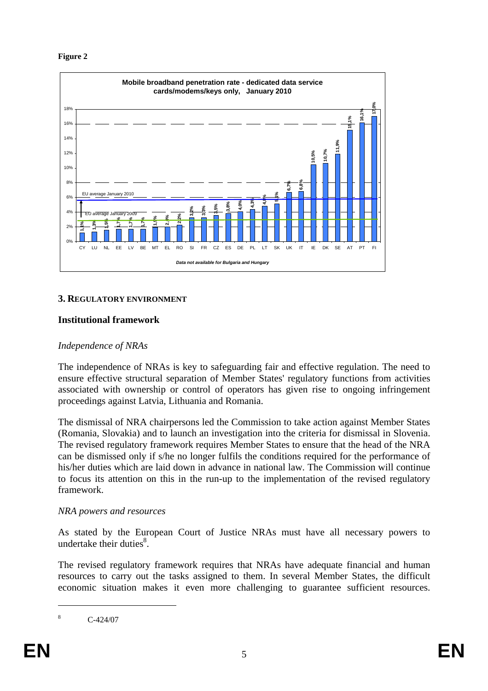

#### **3. REGULATORY ENVIRONMENT**

## **Institutional framework**

## *Independence of NRAs*

The independence of NRAs is key to safeguarding fair and effective regulation. The need to ensure effective structural separation of Member States' regulatory functions from activities associated with ownership or control of operators has given rise to ongoing infringement proceedings against Latvia, Lithuania and Romania.

The dismissal of NRA chairpersons led the Commission to take action against Member States (Romania, Slovakia) and to launch an investigation into the criteria for dismissal in Slovenia. The revised regulatory framework requires Member States to ensure that the head of the NRA can be dismissed only if s/he no longer fulfils the conditions required for the performance of his/her duties which are laid down in advance in national law. The Commission will continue to focus its attention on this in the run-up to the implementation of the revised regulatory framework.

#### *NRA powers and resources*

As stated by the European Court of Justice NRAs must have all necessary powers to undertake their duties $8$ .

The revised regulatory framework requires that NRAs have adequate financial and human resources to carry out the tasks assigned to them. In several Member States, the difficult economic situation makes it even more challenging to guarantee sufficient resources.

<sup>8</sup> C-424/07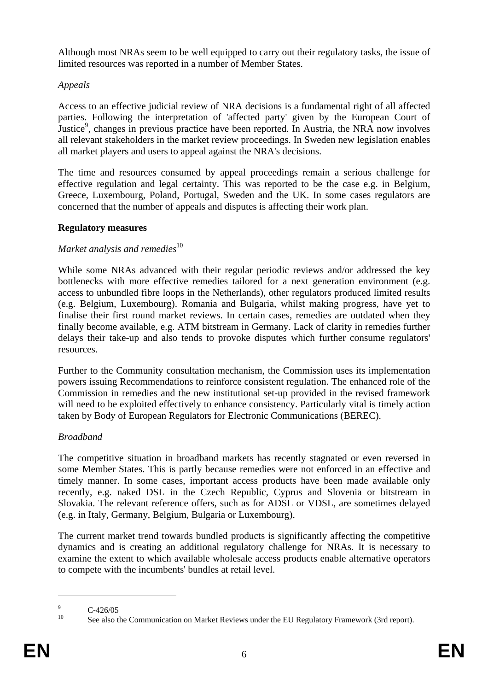Although most NRAs seem to be well equipped to carry out their regulatory tasks, the issue of limited resources was reported in a number of Member States.

# *Appeals*

Access to an effective judicial review of NRA decisions is a fundamental right of all affected parties. Following the interpretation of 'affected party' given by the European Court of Justice<sup>9</sup>, changes in previous practice have been reported. In Austria, the NRA now involves all relevant stakeholders in the market review proceedings. In Sweden new legislation enables all market players and users to appeal against the NRA's decisions.

The time and resources consumed by appeal proceedings remain a serious challenge for effective regulation and legal certainty. This was reported to be the case e.g. in Belgium, Greece, Luxembourg, Poland, Portugal, Sweden and the UK. In some cases regulators are concerned that the number of appeals and disputes is affecting their work plan.

## **Regulatory measures**

## *Market analysis and remedies*<sup>10</sup>

While some NRAs advanced with their regular periodic reviews and/or addressed the key bottlenecks with more effective remedies tailored for a next generation environment (e.g. access to unbundled fibre loops in the Netherlands), other regulators produced limited results (e.g. Belgium, Luxembourg). Romania and Bulgaria, whilst making progress, have yet to finalise their first round market reviews. In certain cases, remedies are outdated when they finally become available, e.g. ATM bitstream in Germany. Lack of clarity in remedies further delays their take-up and also tends to provoke disputes which further consume regulators' resources.

Further to the Community consultation mechanism, the Commission uses its implementation powers issuing Recommendations to reinforce consistent regulation. The enhanced role of the Commission in remedies and the new institutional set-up provided in the revised framework will need to be exploited effectively to enhance consistency. Particularly vital is timely action taken by Body of European Regulators for Electronic Communications (BEREC).

## *Broadband*

The competitive situation in broadband markets has recently stagnated or even reversed in some Member States. This is partly because remedies were not enforced in an effective and timely manner. In some cases, important access products have been made available only recently, e.g. naked DSL in the Czech Republic, Cyprus and Slovenia or bitstream in Slovakia. The relevant reference offers, such as for ADSL or VDSL, are sometimes delayed (e.g. in Italy, Germany, Belgium, Bulgaria or Luxembourg).

The current market trend towards bundled products is significantly affecting the competitive dynamics and is creating an additional regulatory challenge for NRAs. It is necessary to examine the extent to which available wholesale access products enable alternative operators to compete with the incumbents' bundles at retail level.

<sup>9</sup>  $\frac{9}{10}$  C-426/05

<sup>10</sup> See also the Communication on Market Reviews under the EU Regulatory Framework (3rd report).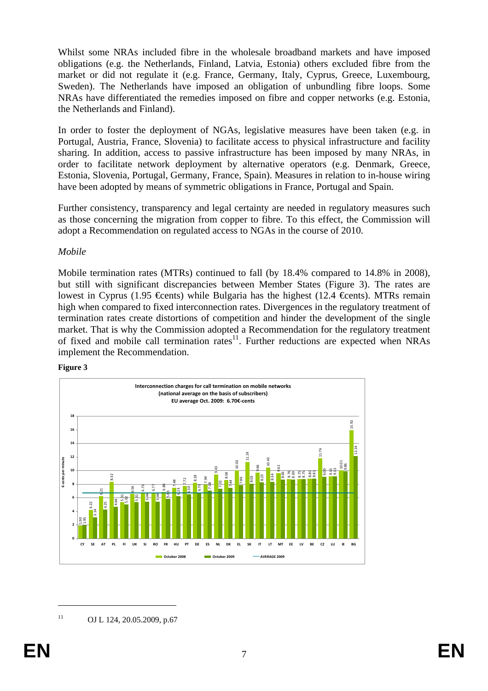Whilst some NRAs included fibre in the wholesale broadband markets and have imposed obligations (e.g. the Netherlands, Finland, Latvia, Estonia) others excluded fibre from the market or did not regulate it (e.g. France, Germany, Italy, Cyprus, Greece, Luxembourg, Sweden). The Netherlands have imposed an obligation of unbundling fibre loops. Some NRAs have differentiated the remedies imposed on fibre and copper networks (e.g. Estonia, the Netherlands and Finland).

In order to foster the deployment of NGAs, legislative measures have been taken (e.g. in Portugal, Austria, France, Slovenia) to facilitate access to physical infrastructure and facility sharing. In addition, access to passive infrastructure has been imposed by many NRAs, in order to facilitate network deployment by alternative operators (e.g. Denmark, Greece, Estonia, Slovenia, Portugal, Germany, France, Spain). Measures in relation to in-house wiring have been adopted by means of symmetric obligations in France, Portugal and Spain.

Further consistency, transparency and legal certainty are needed in regulatory measures such as those concerning the migration from copper to fibre. To this effect, the Commission will adopt a Recommendation on regulated access to NGAs in the course of 2010.

#### *Mobile*

Mobile termination rates (MTRs) continued to fall (by 18.4% compared to 14.8% in 2008), but still with significant discrepancies between Member States (Figure 3). The rates are lowest in Cyprus (1.95 €cents) while Bulgaria has the highest (12.4 €cents). MTRs remain high when compared to fixed interconnection rates. Divergences in the regulatory treatment of termination rates create distortions of competition and hinder the development of the single market. That is why the Commission adopted a Recommendation for the regulatory treatment of fixed and mobile call termination rates<sup>11</sup>. Further reductions are expected when NRAs implement the Recommendation.

#### **Figure 3**



<sup>&</sup>lt;sup>11</sup> OJ L 124, 20.05.2009, p.67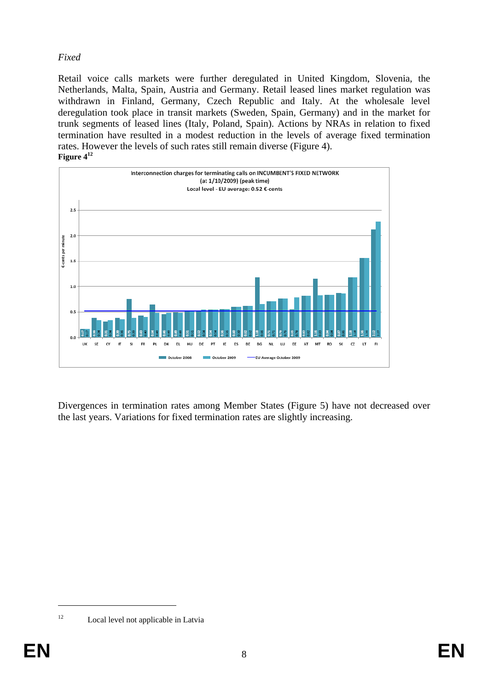# *Fixed*

Retail voice calls markets were further deregulated in United Kingdom, Slovenia, the Netherlands, Malta, Spain, Austria and Germany. Retail leased lines market regulation was withdrawn in Finland, Germany, Czech Republic and Italy. At the wholesale level deregulation took place in transit markets (Sweden, Spain, Germany) and in the market for trunk segments of leased lines (Italy, Poland, Spain). Actions by NRAs in relation to fixed termination have resulted in a modest reduction in the levels of average fixed termination rates. However the levels of such rates still remain diverse (Figure 4). **Figure 412**



Divergences in termination rates among Member States (Figure 5) have not decreased over the last years. Variations for fixed termination rates are slightly increasing.

<sup>1</sup> 

<sup>&</sup>lt;sup>12</sup> Local level not applicable in Latvia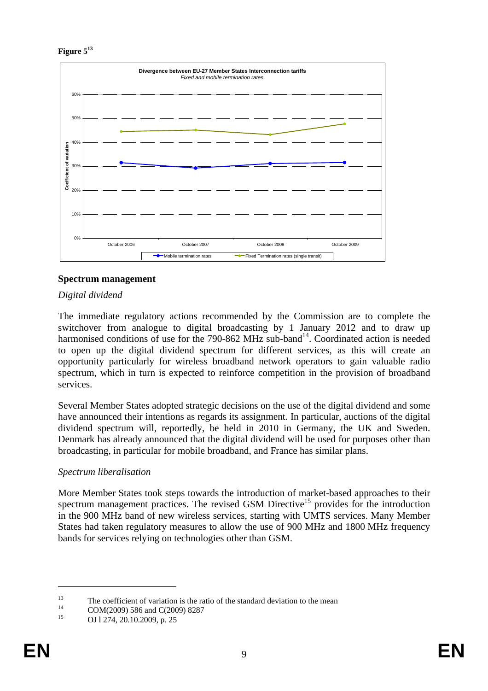**Figure 513**



## **Spectrum management**

## *Digital dividend*

The immediate regulatory actions recommended by the Commission are to complete the switchover from analogue to digital broadcasting by 1 January 2012 and to draw up harmonised conditions of use for the 790-862 MHz sub-band<sup>14</sup>. Coordinated action is needed to open up the digital dividend spectrum for different services, as this will create an opportunity particularly for wireless broadband network operators to gain valuable radio spectrum, which in turn is expected to reinforce competition in the provision of broadband services.

Several Member States adopted strategic decisions on the use of the digital dividend and some have announced their intentions as regards its assignment. In particular, auctions of the digital dividend spectrum will, reportedly, be held in 2010 in Germany, the UK and Sweden. Denmark has already announced that the digital dividend will be used for purposes other than broadcasting, in particular for mobile broadband, and France has similar plans.

## *Spectrum liberalisation*

More Member States took steps towards the introduction of market-based approaches to their spectrum management practices. The revised GSM Directive<sup>15</sup> provides for the introduction in the 900 MHz band of new wireless services, starting with UMTS services. Many Member States had taken regulatory measures to allow the use of 900 MHz and 1800 MHz frequency bands for services relying on technologies other than GSM.

<sup>&</sup>lt;sup>13</sup> The coefficient of variation is the ratio of the standard deviation to the mean<br>  $COM(2009) 586$  and  $C(2009) 8287$ <br>
<sup>15</sup>

OJ 1274, 20.10.2009, p. 25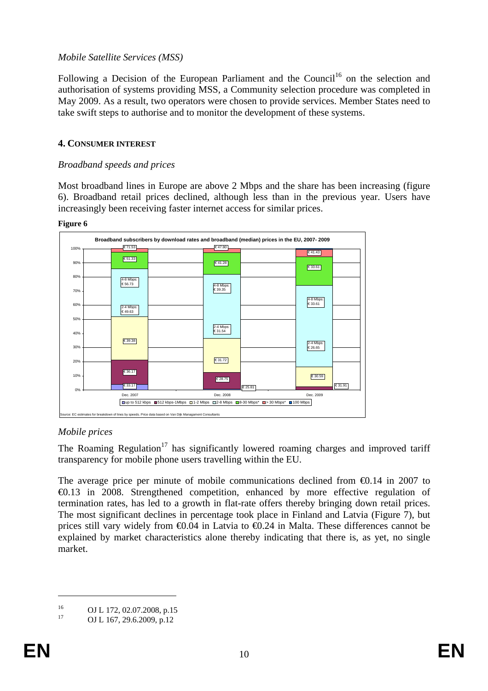## *Mobile Satellite Services (MSS)*

Following a Decision of the European Parliament and the Council<sup>16</sup> on the selection and authorisation of systems providing MSS, a Community selection procedure was completed in May 2009. As a result, two operators were chosen to provide services. Member States need to take swift steps to authorise and to monitor the development of these systems.

## **4. CONSUMER INTEREST**

## *Broadband speeds and prices*

Most broadband lines in Europe are above 2 Mbps and the share has been increasing (figure 6). Broadband retail prices declined, although less than in the previous year. Users have increasingly been receiving faster internet access for similar prices.

#### **Figure 6**



## *Mobile prices*

The Roaming Regulation<sup>17</sup> has significantly lowered roaming charges and improved tariff transparency for mobile phone users travelling within the EU.

The average price per minute of mobile communications declined from  $\epsilon 0.14$  in 2007 to €0.13 in 2008. Strengthened competition, enhanced by more effective regulation of termination rates, has led to a growth in flat-rate offers thereby bringing down retail prices. The most significant declines in percentage took place in Finland and Latvia (Figure 7), but prices still vary widely from  $\epsilon 0.04$  in Latvia to  $\epsilon 0.24$  in Malta. These differences cannot be explained by market characteristics alone thereby indicating that there is, as yet, no single market.

<sup>&</sup>lt;sup>16</sup> OJ L 172, 02.07.2008, p.15<br><sup>17</sup> OJ L 167, 20.6.2000, p.12

OJ L 167, 29.6.2009, p.12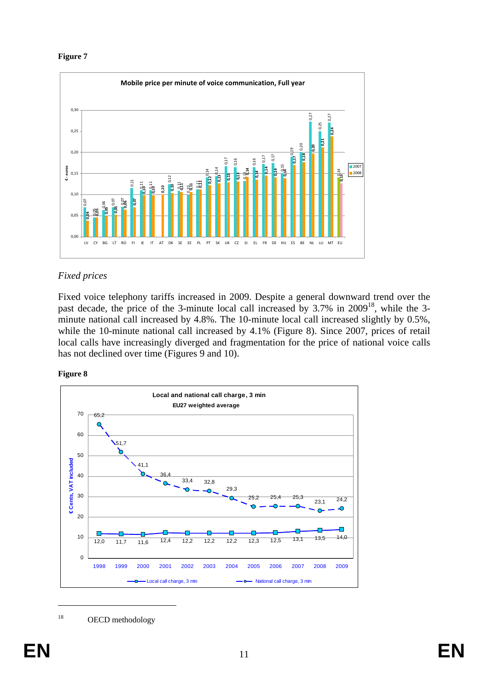

# *Fixed prices*

Fixed voice telephony tariffs increased in 2009. Despite a general downward trend over the past decade, the price of the 3-minute local call increased by 3.7% in 2009<sup>18</sup>, while the 3minute national call increased by 4.8%. The 10-minute local call increased slightly by 0.5%, while the 10-minute national call increased by 4.1% (Figure 8). Since 2007, prices of retail local calls have increasingly diverged and fragmentation for the price of national voice calls has not declined over time (Figures 9 and 10).





<sup>18</sup> OECD methodology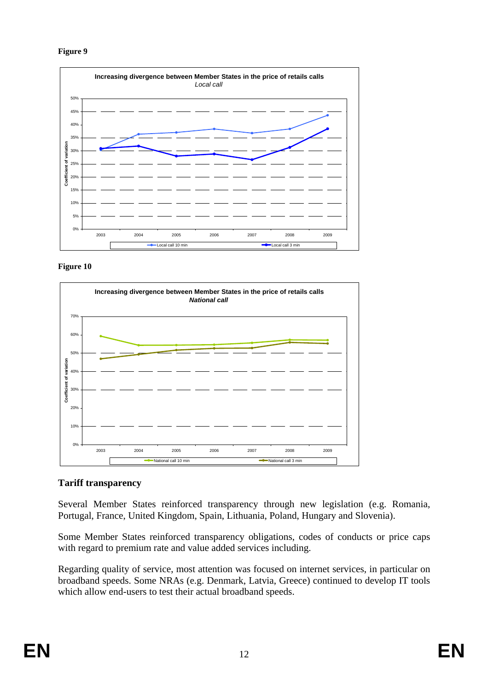





## **Tariff transparency**

Several Member States reinforced transparency through new legislation (e.g. Romania, Portugal, France, United Kingdom, Spain, Lithuania, Poland, Hungary and Slovenia).

Some Member States reinforced transparency obligations, codes of conducts or price caps with regard to premium rate and value added services including.

Regarding quality of service, most attention was focused on internet services, in particular on broadband speeds. Some NRAs (e.g. Denmark, Latvia, Greece) continued to develop IT tools which allow end-users to test their actual broadband speeds.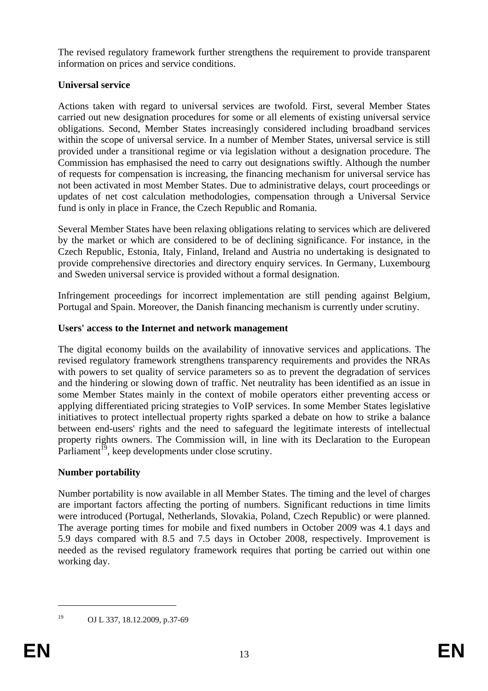The revised regulatory framework further strengthens the requirement to provide transparent information on prices and service conditions.

# **Universal service**

Actions taken with regard to universal services are twofold. First, several Member States carried out new designation procedures for some or all elements of existing universal service obligations. Second, Member States increasingly considered including broadband services within the scope of universal service. In a number of Member States, universal service is still provided under a transitional regime or via legislation without a designation procedure. The Commission has emphasised the need to carry out designations swiftly. Although the number of requests for compensation is increasing, the financing mechanism for universal service has not been activated in most Member States. Due to administrative delays, court proceedings or updates of net cost calculation methodologies, compensation through a Universal Service fund is only in place in France, the Czech Republic and Romania.

Several Member States have been relaxing obligations relating to services which are delivered by the market or which are considered to be of declining significance. For instance, in the Czech Republic, Estonia, Italy, Finland, Ireland and Austria no undertaking is designated to provide comprehensive directories and directory enquiry services. In Germany, Luxembourg and Sweden universal service is provided without a formal designation.

Infringement proceedings for incorrect implementation are still pending against Belgium, Portugal and Spain. Moreover, the Danish financing mechanism is currently under scrutiny.

# **Users' access to the Internet and network management**

The digital economy builds on the availability of innovative services and applications. The revised regulatory framework strengthens transparency requirements and provides the NRAs with powers to set quality of service parameters so as to prevent the degradation of services and the hindering or slowing down of traffic. Net neutrality has been identified as an issue in some Member States mainly in the context of mobile operators either preventing access or applying differentiated pricing strategies to VoIP services. In some Member States legislative initiatives to protect intellectual property rights sparked a debate on how to strike a balance between end-users' rights and the need to safeguard the legitimate interests of intellectual property rights owners. The Commission will, in line with its Declaration to the European Parliament<sup> $19$ </sup>, keep developments under close scrutiny.

# **Number portability**

Number portability is now available in all Member States. The timing and the level of charges are important factors affecting the porting of numbers. Significant reductions in time limits were introduced (Portugal, Netherlands, Slovakia, Poland, Czech Republic) or were planned. The average porting times for mobile and fixed numbers in October 2009 was 4.1 days and 5.9 days compared with 8.5 and 7.5 days in October 2008, respectively. Improvement is needed as the revised regulatory framework requires that porting be carried out within one working day.

<sup>19</sup> OJ L 337, 18.12.2009, p.37-69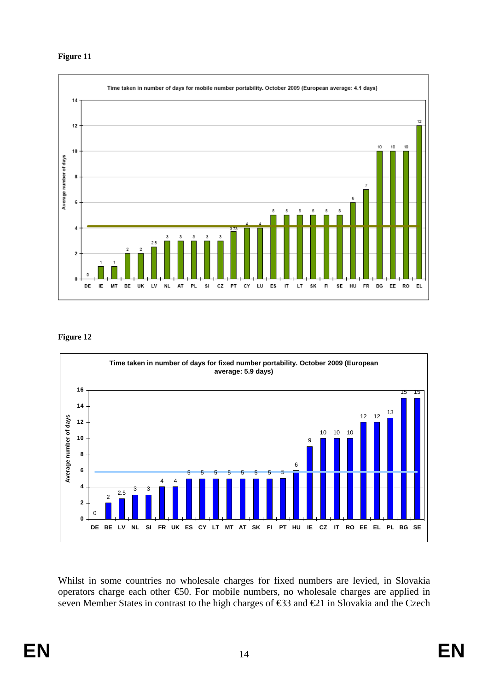

#### **Figure 12**



Whilst in some countries no wholesale charges for fixed numbers are levied, in Slovakia operators charge each other €50. For mobile numbers, no wholesale charges are applied in seven Member States in contrast to the high charges of €33 and €21 in Slovakia and the Czech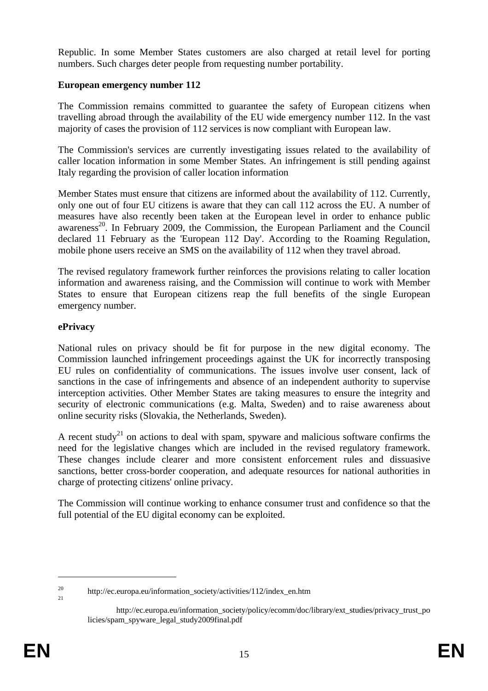Republic. In some Member States customers are also charged at retail level for porting numbers. Such charges deter people from requesting number portability.

## **European emergency number 112**

The Commission remains committed to guarantee the safety of European citizens when travelling abroad through the availability of the EU wide emergency number 112. In the vast majority of cases the provision of 112 services is now compliant with European law.

The Commission's services are currently investigating issues related to the availability of caller location information in some Member States. An infringement is still pending against Italy regarding the provision of caller location information

Member States must ensure that citizens are informed about the availability of 112. Currently, only one out of four EU citizens is aware that they can call 112 across the EU. A number of measures have also recently been taken at the European level in order to enhance public awareness<sup>20</sup>. In February 2009, the Commission, the European Parliament and the Council declared 11 February as the 'European 112 Day'. According to the Roaming Regulation, mobile phone users receive an SMS on the availability of 112 when they travel abroad.

The revised regulatory framework further reinforces the provisions relating to caller location information and awareness raising, and the Commission will continue to work with Member States to ensure that European citizens reap the full benefits of the single European emergency number.

# **ePrivacy**

National rules on privacy should be fit for purpose in the new digital economy. The Commission launched infringement proceedings against the UK for incorrectly transposing EU rules on confidentiality of communications. The issues involve user consent, lack of sanctions in the case of infringements and absence of an independent authority to supervise interception activities. Other Member States are taking measures to ensure the integrity and security of electronic communications (e.g. Malta, Sweden) and to raise awareness about online security risks (Slovakia, the Netherlands, Sweden).

A recent study<sup>21</sup> on actions to deal with spam, spyware and malicious software confirms the need for the legislative changes which are included in the revised regulatory framework. These changes include clearer and more consistent enforcement rules and dissuasive sanctions, better cross-border cooperation, and adequate resources for national authorities in charge of protecting citizens' online privacy.

The Commission will continue working to enhance consumer trust and confidence so that the full potential of the EU digital economy can be exploited.

<sup>&</sup>lt;sup>20</sup> http://ec.europa.eu/information\_society/activities/112/index\_en.htm

http://ec.europa.eu/information\_society/policy/ecomm/doc/library/ext\_studies/privacy\_trust\_po licies/spam\_spyware\_legal\_study2009final.pdf